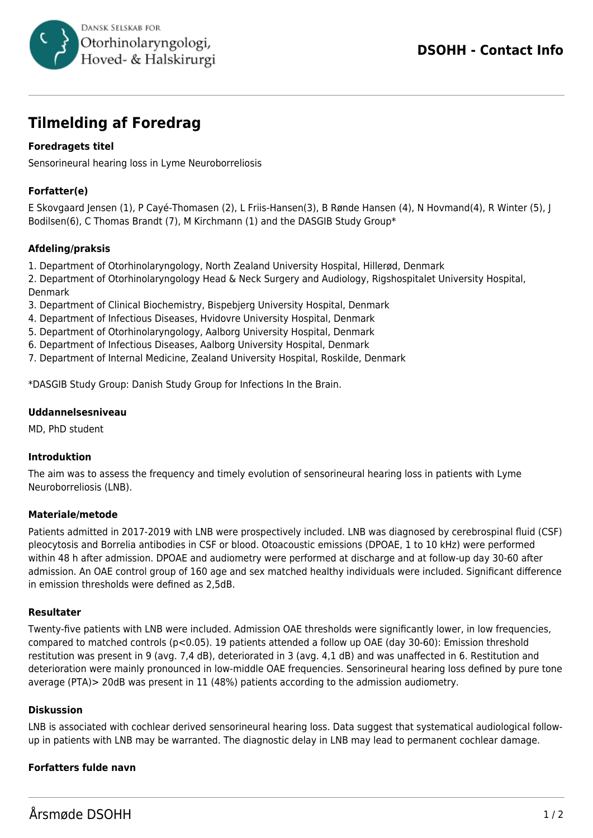

# **Tilmelding af Foredrag**

# **Foredragets titel**

Sensorineural hearing loss in Lyme Neuroborreliosis

# **Forfatter(e)**

E Skovgaard Jensen (1), P Cayé-Thomasen (2), L Friis-Hansen(3), B Rønde Hansen (4), N Hovmand(4), R Winter (5), J Bodilsen(6), C Thomas Brandt (7), M Kirchmann (1) and the DASGIB Study Group\*

## **Afdeling/praksis**

1. Department of Otorhinolaryngology, North Zealand University Hospital, Hillerød, Denmark

2. Department of Otorhinolaryngology Head & Neck Surgery and Audiology, Rigshospitalet University Hospital, Denmark

- 3. Department of Clinical Biochemistry, Bispebjerg University Hospital, Denmark
- 4. Department of Infectious Diseases, Hvidovre University Hospital, Denmark
- 5. Department of Otorhinolaryngology, Aalborg University Hospital, Denmark
- 6. Department of Infectious Diseases, Aalborg University Hospital, Denmark
- 7. Department of Internal Medicine, Zealand University Hospital, Roskilde, Denmark

\*DASGIB Study Group: Danish Study Group for Infections In the Brain.

#### **Uddannelsesniveau**

MD, PhD student

#### **Introduktion**

The aim was to assess the frequency and timely evolution of sensorineural hearing loss in patients with Lyme Neuroborreliosis (LNB).

#### **Materiale/metode**

Patients admitted in 2017-2019 with LNB were prospectively included. LNB was diagnosed by cerebrospinal fluid (CSF) pleocytosis and Borrelia antibodies in CSF or blood. Otoacoustic emissions (DPOAE, 1 to 10 kHz) were performed within 48 h after admission. DPOAE and audiometry were performed at discharge and at follow-up day 30-60 after admission. An OAE control group of 160 age and sex matched healthy individuals were included. Significant difference in emission thresholds were defined as 2,5dB.

#### **Resultater**

Twenty-five patients with LNB were included. Admission OAE thresholds were significantly lower, in low frequencies, compared to matched controls (p<0.05). 19 patients attended a follow up OAE (day 30-60): Emission threshold restitution was present in 9 (avg. 7,4 dB), deteriorated in 3 (avg. 4,1 dB) and was unaffected in 6. Restitution and deterioration were mainly pronounced in low-middle OAE frequencies. Sensorineural hearing loss defined by pure tone average (PTA)> 20dB was present in 11 (48%) patients according to the admission audiometry.

#### **Diskussion**

LNB is associated with cochlear derived sensorineural hearing loss. Data suggest that systematical audiological followup in patients with LNB may be warranted. The diagnostic delay in LNB may lead to permanent cochlear damage.

## **Forfatters fulde navn**